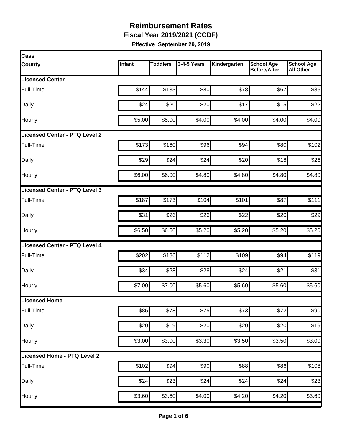**Fiscal Year 2019/2021 (CCDF)**

| Cass                          |        |                 |             |              |                                          |                                       |
|-------------------------------|--------|-----------------|-------------|--------------|------------------------------------------|---------------------------------------|
| <b>County</b>                 | Infant | <b>Toddlers</b> | 3-4-5 Years | Kindergarten | <b>School Age</b><br><b>Before/After</b> | <b>School Age</b><br><b>All Other</b> |
| <b>Licensed Center</b>        |        |                 |             |              |                                          |                                       |
| <b>Full-Time</b>              | \$144  | \$133           | \$80        | \$78         | \$67                                     | \$85                                  |
| Daily                         | \$24   | \$20            | \$20        | \$17         | \$15                                     | \$22                                  |
| Hourly                        | \$5.00 | \$5.00          | \$4.00      | \$4.00       | \$4.00                                   | \$4.00                                |
| Licensed Center - PTQ Level 2 |        |                 |             |              |                                          |                                       |
| Full-Time                     | \$173  | \$160           | \$96        | \$94         | \$80                                     | \$102                                 |
| Daily                         | \$29   | \$24            | \$24        | \$20         | \$18                                     | \$26                                  |
| Hourly                        | \$6.00 | \$6.00          | \$4.80      | \$4.80       | \$4.80                                   | \$4.80                                |
| Licensed Center - PTQ Level 3 |        |                 |             |              |                                          |                                       |
| <b>Full-Time</b>              | \$187  | \$173           | \$104       | \$101        | \$87                                     | \$111                                 |
| Daily                         | \$31   | \$26            | \$26        | \$22         | \$20                                     | \$29                                  |
| Hourly                        | \$6.50 | \$6.50          | \$5.20      | \$5.20       | \$5.20                                   | \$5.20                                |
| Licensed Center - PTQ Level 4 |        |                 |             |              |                                          |                                       |
| Full-Time                     | \$202  | \$186           | \$112       | \$109        | \$94                                     | \$119                                 |
| Daily                         | \$34   | \$28            | \$28        | \$24         | \$21                                     | \$31                                  |
| Hourly                        | \$7.00 | \$7.00          | \$5.60      | \$5.60       | \$5.60                                   | \$5.60                                |
| Licensed Home                 |        |                 |             |              |                                          |                                       |
| Full-Time                     | \$85   | \$78            | \$75        | \$73         | \$72                                     | \$90                                  |
| Daily                         | \$20   | \$19            | \$20        | \$20         | \$20                                     | \$19                                  |
| Hourly                        | \$3.00 | \$3.00          | \$3.30      | \$3.50       | \$3.50                                   | \$3.00                                |
| Licensed Home - PTQ Level 2   |        |                 |             |              |                                          |                                       |
| Full-Time                     | \$102  | \$94            | \$90        | \$88         | \$86                                     | \$108                                 |
| Daily                         | \$24   | \$23            | \$24        | \$24         | \$24                                     | \$23                                  |
| Hourly                        | \$3.60 | \$3.60          | \$4.00      | \$4.20       | \$4.20                                   | \$3.60                                |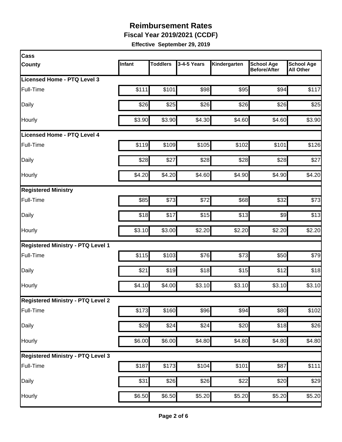**Fiscal Year 2019/2021 (CCDF)**

| <b>Cass</b>                              |        |                 |                  |                    |                                          |                                       |
|------------------------------------------|--------|-----------------|------------------|--------------------|------------------------------------------|---------------------------------------|
| <b>County</b>                            | Infant | <b>Toddlers</b> | 3-4-5 Years      | Kindergarten       | <b>School Age</b><br><b>Before/After</b> | <b>School Age</b><br><b>All Other</b> |
| Licensed Home - PTQ Level 3              |        |                 |                  |                    |                                          |                                       |
| Full-Time                                | \$111  | \$101           | \$98             | \$95               | \$94                                     | \$117                                 |
| Daily                                    | \$26   | \$25            | \$26             | \$26               | \$26                                     | \$25                                  |
| Hourly                                   | \$3.90 | \$3.90          | \$4.30           | \$4.60             | \$4.60                                   | \$3.90                                |
| Licensed Home - PTQ Level 4              |        |                 |                  |                    |                                          |                                       |
| Full-Time                                | \$119  | \$109           | \$105            | \$102              | \$101                                    | \$126                                 |
| Daily                                    | \$28   | \$27            | \$28             | \$28               | \$28                                     | \$27                                  |
| Hourly                                   | \$4.20 | \$4.20          | \$4.60           | \$4.90             | \$4.90                                   | \$4.20                                |
| <b>Registered Ministry</b>               |        |                 |                  |                    |                                          |                                       |
| Full-Time                                | \$85   | \$73            | \$72             | \$68               | \$32                                     | \$73                                  |
| Daily                                    | \$18   | \$17            | \$15             | \$13               | $\frac{1}{2}$                            | \$13                                  |
| Hourly                                   | \$3.10 | \$3.00          | \$2.20           | \$2.20             | \$2.20                                   | \$2.20                                |
| <b>Registered Ministry - PTQ Level 1</b> |        |                 |                  |                    |                                          |                                       |
| Full-Time                                | \$115  | \$103           | \$76             | \$73               | \$50                                     | \$79                                  |
| Daily                                    | \$21   | \$19            | \$18             | \$15               | \$12                                     | \$18                                  |
| Hourly                                   | \$4.10 | \$4.00          | \$3.10           | \$3.10             | \$3.10                                   | \$3.10                                |
| <b>Registered Ministry - PTQ Level 2</b> |        |                 |                  |                    |                                          |                                       |
| Full-Time                                | \$173  | \$160           | \$96             | \$94               | \$80                                     | \$102                                 |
| Daily                                    | \$29   | \$24            | $\overline{$}24$ | \$20               | \$18                                     | \$26                                  |
| Hourly                                   | \$6.00 | \$6.00          | \$4.80           | \$4.80             | \$4.80                                   | \$4.80                                |
| <b>Registered Ministry - PTQ Level 3</b> |        |                 |                  |                    |                                          |                                       |
| Full-Time                                | \$187  | \$173           | \$104            | \$101              | \$87                                     | \$111                                 |
| Daily                                    | \$31   | \$26            | \$26             | \$22               | \$20                                     | \$29                                  |
| Hourly                                   | \$6.50 | \$6.50          | \$5.20           | $\overline{$}5.20$ | \$5.20                                   | \$5.20                                |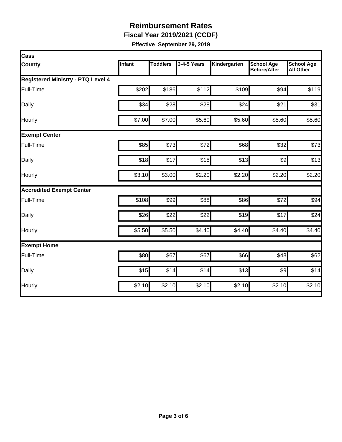**Fiscal Year 2019/2021 (CCDF)**

| Cass                                     |        |                 |             |              |                                          |                                       |
|------------------------------------------|--------|-----------------|-------------|--------------|------------------------------------------|---------------------------------------|
| <b>County</b>                            | Infant | <b>Toddlers</b> | 3-4-5 Years | Kindergarten | <b>School Age</b><br><b>Before/After</b> | <b>School Age</b><br><b>All Other</b> |
| <b>Registered Ministry - PTQ Level 4</b> |        |                 |             |              |                                          |                                       |
| Full-Time                                | \$202  | \$186           | \$112       | \$109        | \$94                                     | \$119                                 |
| Daily                                    | \$34   | \$28            | \$28        | \$24         | \$21                                     | \$31                                  |
| Hourly                                   | \$7.00 | \$7.00          | \$5.60      | \$5.60       | \$5.60                                   | \$5.60                                |
| <b>Exempt Center</b>                     |        |                 |             |              |                                          |                                       |
| Full-Time                                | \$85   | \$73            | \$72        | \$68         | \$32                                     | \$73                                  |
| Daily                                    | \$18   | \$17            | \$15        | \$13         | $\frac{1}{2}$                            | \$13                                  |
| Hourly                                   | \$3.10 | \$3.00          | \$2.20      | \$2.20       | \$2.20                                   | \$2.20                                |
| <b>Accredited Exempt Center</b>          |        |                 |             |              |                                          |                                       |
| Full-Time                                | \$108  | \$99            | \$88        | \$86         | \$72                                     | \$94                                  |
| Daily                                    | \$26   | \$22            | \$22        | \$19         | \$17                                     | \$24                                  |
| Hourly                                   | \$5.50 | \$5.50          | \$4.40      | \$4.40       | \$4.40                                   | \$4.40                                |
| <b>Exempt Home</b>                       |        |                 |             |              |                                          |                                       |
| Full-Time                                | \$80   | \$67            | \$67        | \$66         | \$48                                     | \$62                                  |
| Daily                                    | \$15   | \$14            | \$14        | \$13         | $\frac{1}{2}$                            | \$14                                  |
| Hourly                                   | \$2.10 | \$2.10          | \$2.10      | \$2.10       | \$2.10                                   | \$2.10                                |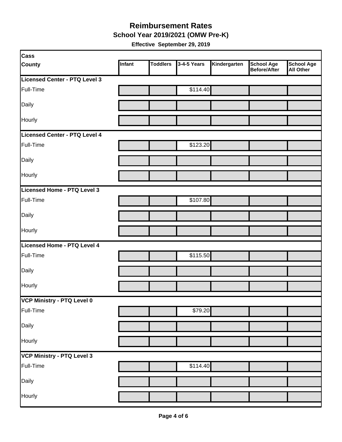**School Year 2019/2021 (OMW Pre-K)**

| <b>Cass</b>                   |        |                 |             |              |                                          |                         |
|-------------------------------|--------|-----------------|-------------|--------------|------------------------------------------|-------------------------|
| <b>County</b>                 | Infant | <b>Toddlers</b> | 3-4-5 Years | Kindergarten | <b>School Age</b><br><b>Before/After</b> | School Age<br>All Other |
| Licensed Center - PTQ Level 3 |        |                 |             |              |                                          |                         |
| Full-Time                     |        |                 | \$114.40    |              |                                          |                         |
| Daily                         |        |                 |             |              |                                          |                         |
| Hourly                        |        |                 |             |              |                                          |                         |
| Licensed Center - PTQ Level 4 |        |                 |             |              |                                          |                         |
| Full-Time                     |        |                 | \$123.20    |              |                                          |                         |
| Daily                         |        |                 |             |              |                                          |                         |
| Hourly                        |        |                 |             |              |                                          |                         |
| Licensed Home - PTQ Level 3   |        |                 |             |              |                                          |                         |
| Full-Time                     |        |                 | \$107.80    |              |                                          |                         |
| Daily                         |        |                 |             |              |                                          |                         |
| Hourly                        |        |                 |             |              |                                          |                         |
| Licensed Home - PTQ Level 4   |        |                 |             |              |                                          |                         |
| Full-Time                     |        |                 | \$115.50    |              |                                          |                         |
| Daily                         |        |                 |             |              |                                          |                         |
| Hourly                        |        |                 |             |              |                                          |                         |
| VCP Ministry - PTQ Level 0    |        |                 |             |              |                                          |                         |
| Full-Time                     |        |                 | \$79.20     |              |                                          |                         |
| Daily                         |        |                 |             |              |                                          |                         |
| Hourly                        |        |                 |             |              |                                          |                         |
| VCP Ministry - PTQ Level 3    |        |                 |             |              |                                          |                         |
| Full-Time                     |        |                 | \$114.40    |              |                                          |                         |
| Daily                         |        |                 |             |              |                                          |                         |
| Hourly                        |        |                 |             |              |                                          |                         |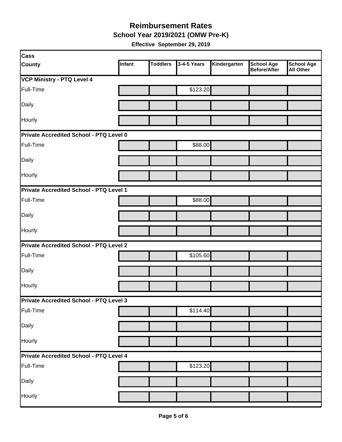**School Year 2019/2021 (OMW Pre-K)**

| Cass                                           |        |                 |             |              |                                          |                                       |  |
|------------------------------------------------|--------|-----------------|-------------|--------------|------------------------------------------|---------------------------------------|--|
| <b>County</b>                                  | Infant | <b>Toddlers</b> | 3-4-5 Years | Kindergarten | <b>School Age</b><br><b>Before/After</b> | <b>School Age</b><br><b>All Other</b> |  |
| VCP Ministry - PTQ Level 4                     |        |                 |             |              |                                          |                                       |  |
| Full-Time                                      |        |                 | \$123.20    |              |                                          |                                       |  |
| Daily                                          |        |                 |             |              |                                          |                                       |  |
| Hourly                                         |        |                 |             |              |                                          |                                       |  |
| Private Accredited School - PTQ Level 0        |        |                 |             |              |                                          |                                       |  |
| Full-Time                                      |        |                 | \$88.00     |              |                                          |                                       |  |
| Daily                                          |        |                 |             |              |                                          |                                       |  |
| Hourly                                         |        |                 |             |              |                                          |                                       |  |
| <b>Private Accredited School - PTQ Level 1</b> |        |                 |             |              |                                          |                                       |  |
| Full-Time                                      |        |                 | \$88.00     |              |                                          |                                       |  |
| Daily                                          |        |                 |             |              |                                          |                                       |  |
| Hourly                                         |        |                 |             |              |                                          |                                       |  |
| <b>Private Accredited School - PTQ Level 2</b> |        |                 |             |              |                                          |                                       |  |
| Full-Time                                      |        |                 | \$105.60    |              |                                          |                                       |  |
| Daily                                          |        |                 |             |              |                                          |                                       |  |
| Hourly                                         |        |                 |             |              |                                          |                                       |  |
| Private Accredited School - PTQ Level 3        |        |                 |             |              |                                          |                                       |  |
| Full-Time                                      |        |                 | \$114.40    |              |                                          |                                       |  |
| Daily                                          |        |                 |             |              |                                          |                                       |  |
| Hourly                                         |        |                 |             |              |                                          |                                       |  |
| <b>Private Accredited School - PTQ Level 4</b> |        |                 |             |              |                                          |                                       |  |
| Full-Time                                      |        |                 | \$123.20    |              |                                          |                                       |  |
| Daily                                          |        |                 |             |              |                                          |                                       |  |
| Hourly                                         |        |                 |             |              |                                          |                                       |  |